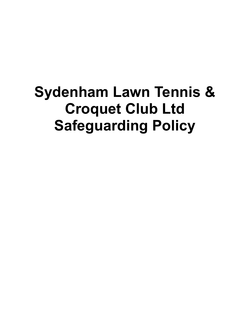# **Sydenham Lawn Tennis & Croquet Club Ltd Safeguarding Policy**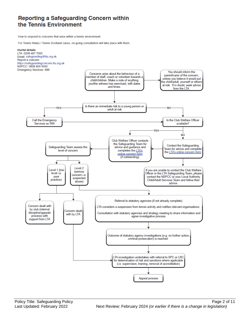### Reporting a Safeguarding Concern within the Tennis Environment

How to respond to concerns that arise within a tennis environment.

For Tennis Wales / Tennis Scotland cases, on-going consultation will take place with them.

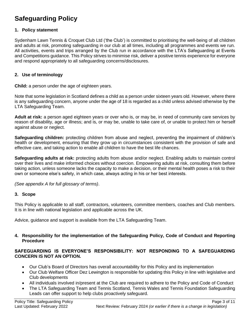## **Safeguarding Policy**

#### **1. Policy statement**

Sydenham Lawn Tennis & Croquet Club Ltd ('the Club') is committed to prioritising the well-being of all children and adults at risk, promoting safeguarding in our club at all times, including all programmes and events we run. All activities, events and trips arranged by the Club run in accordance with the LTA's Safeguarding at Events and Competitions guidance. This Policy strives to minimise risk, deliver a positive tennis experience for everyone and respond appropriately to all safeguarding concerns/disclosures.

#### **2. Use of terminology**

**Child:** a person under the age of eighteen years.

Note that some legislation in Scotland defines a child as a person under sixteen years old. However, where there is any safeguarding concern, anyone under the age of 18 is regarded as a child unless advised otherwise by the LTA Safeguarding Team.

**Adult at risk:** a person aged eighteen years or over who is, or may be, in need of community care services by reason of disability, age or illness; and is, or may be, unable to take care of, or unable to protect him or herself against abuse or neglect.

**Safeguarding children:** protecting children from abuse and neglect, preventing the impairment of children's health or development, ensuring that they grow up in circumstances consistent with the provision of safe and effective care, and taking action to enable all children to have the best life chances.

**Safeguarding adults at risk:** protecting adults from abuse and/or neglect. Enabling adults to maintain control over their lives and make informed choices without coercion. Empowering adults at risk, consulting them before taking action, unless someone lacks the capacity to make a decision, or their mental health poses a risk to their own or someone else's safety, in which case, always acting in his or her best interests.

*(See appendix A for full glossary of terms)*.

#### **3. Scope**

This Policy is applicable to all staff, contractors, volunteers, committee members, coaches and Club members. It is in line with national legislation and applicable across the UK.

Advice, guidance and support is available from the LTA Safeguarding Team.

#### **4. Responsibility for the implementation of the Safeguarding Policy, Code of Conduct and Reporting Procedure**

#### **SAFEGUARDING IS EVERYONE'S RESPONSIBILITY: NOT RESPONDING TO A SAFEGUARDING CONCERN IS NOT AN OPTION.**

- Our Club's Board of Directors has overall accountability for this Policy and its implementation
- Our Club Welfare Officer Dez Lewington is responsible for updating this Policy in line with legislative and Club developments
- All individuals involved in/present at the Club are required to adhere to the Policy and Code of Conduct
- The LTA Safeguarding Team and Tennis Scotland, Tennis Wales and Tennis Foundation Safeguarding Leads can offer support to help clubs proactively safeguard.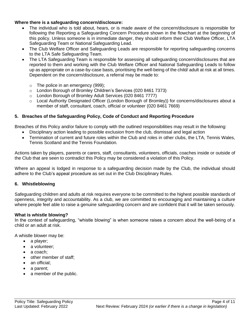#### **Where there is a safeguarding concern/disclosure:**

- The individual who is told about, hears, or is made aware of the concern/disclosure is responsible for following the Reporting a Safeguarding Concern Procedure shown in the flowchart at the beginning of this policy. Unless someone is in immediate danger, they should inform their Club Welfare Officer, LTA Safeguarding Team or National Safeguarding Lead.
- The Club Welfare Officer and Safeguarding Leads are responsible for reporting safeguarding concerns to the LTA Safe Safeguarding Team.
- The LTA Safeguarding Team is responsible for assessing all safeguarding concern/disclosures that are reported to them and working with the Club Welfare Officer and National Safeguarding Leads to follow up as appropriate on a case-by-case basis, prioritising the well-being of the child/ adult at risk at all times. Dependent on the concern/disclosure, a referral may be made to:
	- o The police in an emergency (999);
	- o London Borough of Bromley Children's Services (020 8461 7373)
	- o London Borough of Bromley Adult Services (020 8461 7777)
	- o Local Authority Designated Officer (London Borough of Bromley)) for concerns/disclosures about a member of staff, consultant, coach, official or volunteer (020 8461 7669)

#### **5. Breaches of the Safeguarding Policy, Code of Conduct and Reporting Procedure**

Breaches of this Policy and/or failure to comply with the outlined responsibilities may result in the following:

- Disciplinary action leading to possible exclusion from the club, dismissal and legal action
- Termination of current and future roles within the Club and roles in other clubs, the LTA, Tennis Wales, Tennis Scotland and the Tennis Foundation*.*

Actions taken by players, parents or carers, staff, consultants, volunteers, officials, coaches inside or outside of the Club that are seen to contradict this Policy may be considered a violation of this Policy.

Where an appeal is lodged in response to a safeguarding decision made by the Club, the individual should adhere to the Club's appeal procedure as set out in the Club Disciplinary Rules.

#### **6. Whistleblowing**

Safeguarding children and adults at risk requires everyone to be committed to the highest possible standards of openness, integrity and accountability. As a club, we are committed to encouraging and maintaining a culture where people feel able to raise a genuine safeguarding concern and are confident that it will be taken seriously.

#### **What is whistle blowing?**

In the context of safeguarding, "whistle blowing" is when someone raises a concern about the well-being of a child or an adult at risk.

A whistle blower may be:

- a player;
- a volunteer:
- a coach:
- other member of staff;
- an official;
- a parent;
- a member of the public.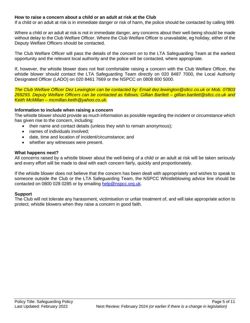#### **How to raise a concern about a child or an adult at risk at the Club**

If a child or an adult at risk is in immediate danger or risk of harm, the police should be contacted by calling 999.

Where a child or an adult at risk is not in immediate danger, any concerns about their well-being should be made without delay to the Club Welfare Officer. Where the Club Welfare Officer is unavailable, eg holiday, either of the Deputy Welfare Officers should be contacted.

The Club Welfare Officer will pass the details of the concern on to the LTA Safeguarding Team at the earliest opportunity and the relevant local authority and the police will be contacted, where appropriate.

If, however, the whistle blower does not feel comfortable raising a concern with the Club Welfare Officer, the whistle blower should contact the LTA Safeguarding Team directly on 020 8487 7000, the Local Authority Designated Officer (LADO) on 020 8461 7669 or the NSPCC on 0808 800 5000.

*The Club Welfare Officer Dez Lewington can be contacted by: Email dez.lewington@sltcc.co.uk or Mob. 07803 269293. Deputy Welfare Officers can be contacted as follows: Gillian Bartlett – gillian.bartlett@sltcc.co.uk and Keith McMillan – mcmillan.keith@yahoo.co.uk.*

#### **Information to include when raising a concern**

The whistle blower should provide as much information as possible regarding the incident or circumstance which has given rise to the concern, including:

- their name and contact details (unless they wish to remain anonymous);
- names of individuals involved;
- date, time and location of incident/circumstance; and
- whether any witnesses were present.

#### **What happens next?**

All concerns raised by a whistle blower about the well-being of a child or an adult at risk will be taken seriously and every effort will be made to deal with each concern fairly, quickly and proportionately.

If the whistle blower does not believe that the concern has been dealt with appropriately and wishes to speak to someone outside the Club or the LTA Safeguarding Team, the NSPCC Whistleblowing advice line should be contacted on 0800 028 0285 or by emailing [help@nspcc.org.uk.](mailto:help@nspcc.org.uk)

#### **Support**

The Club will not tolerate any harassment, victimisation or unfair treatment of, and will take appropriate action to protect, whistle blowers when they raise a concern in good faith.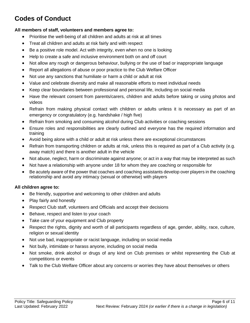# **Codes of Conduct**

#### **All members of staff, volunteers and members agree to:**

- Prioritise the well-being of all children and adults at risk at all times
- Treat all children and adults at risk fairly and with respect
- Be a positive role model. Act with integrity, even when no one is looking
- Help to create a safe and inclusive environment both on and off court
- Not allow any rough or dangerous behaviour, bullying or the use of bad or inappropriate language
- Report all allegations of abuse or poor practice to the Club Welfare Officer
- Not use any sanctions that humiliate or harm a child or adult at risk
- Value and celebrate diversity and make all reasonable efforts to meet individual needs
- Keep clear boundaries between professional and personal life, including on social media
- Have the relevant consent from parents/carers, children and adults before taking or using photos and videos
- Refrain from making physical contact with children or adults unless it is necessary as part of an emergency or congratulatory (e.g. handshake / high five)
- Refrain from smoking and consuming alcohol during Club activities or coaching sessions
- Ensure roles and responsibilities are clearly outlined and everyone has the required information and training
- Avoid being alone with a child or adult at risk unless there are exceptional circumstances
- Refrain from transporting children or adults at risk, unless this is required as part of a Club activity (e.g. away match) and there is another adult in the vehicle
- Not abuse, neglect, harm or discriminate against anyone; or act in a way that may be interpreted as such
- Not have a relationship with anyone under 18 for whom they are coaching or responsible for
- Be acutely aware of the power that coaches and coaching assistants develop over players in the coaching relationship and avoid any intimacy (sexual or otherwise) with players

#### **All children agree to:**

- Be friendly, supportive and welcoming to other children and adults
- Play fairly and honestly
- Respect Club staff, volunteers and Officials and accept their decisions
- Behave, respect and listen to your coach
- Take care of your equipment and Club property
- Respect the rights, dignity and worth of all participants regardless of age, gender, ability, race, culture, religion or sexual identity
- Not use bad, inappropriate or racist language, including on social media
- Not bully, intimidate or harass anyone, including on social media
- Not smoke, drink alcohol or drugs of any kind on Club premises or whilst representing the Club at competitions or events
- Talk to the Club Welfare Officer about any concerns or worries they have about themselves or others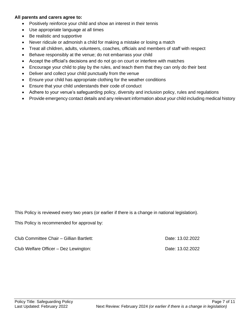#### **All parents and carers agree to:**

- Positively reinforce your child and show an interest in their tennis
- Use appropriate language at all times
- Be realistic and supportive
- Never ridicule or admonish a child for making a mistake or losing a match
- Treat all children, adults, volunteers, coaches, officials and members of staff with respect
- Behave responsibly at the venue; do not embarrass your child
- Accept the official's decisions and do not go on court or interfere with matches
- Encourage your child to play by the rules, and teach them that they can only do their best
- Deliver and collect your child punctually from the venue
- Ensure your child has appropriate clothing for the weather conditions
- Ensure that your child understands their code of conduct
- Adhere to your venue's safeguarding policy, diversity and inclusion policy, rules and regulations
- Provide emergency contact details and any relevant information about your child including medical history

This Policy is reviewed every two years (or earlier if there is a change in national legislation).

This Policy is recommended for approval by:

Club Committee Chair – Gillian Bartlett: Date: 13.02.2022 Club Welfare Officer – Dez Lewington: Club Welfare 13.02.2022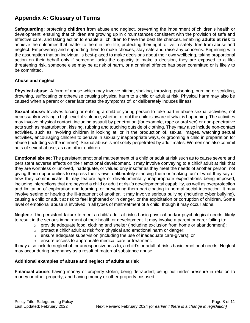## **Appendix A: Glossary of Terms**

**Safeguarding:** protecting **children** from abuse and neglect, preventing the impairment of children's health or development, ensuring that children are growing up in circumstances consistent with the provision of safe and effective care, and taking action to enable all children to have the best life chances. Enabling **adults at risk** to achieve the outcomes that matter to them in their life; protecting their right to live in safety, free from abuse and neglect. Empowering and supporting them to make choices, stay safe and raise any concerns. Beginning with the assumption that an individual is best-placed to make decisions about their own wellbeing, taking proportional action on their behalf only if someone lacks the capacity to make a decision, they are exposed to a lifethreatening risk, someone else may be at risk of harm, or a criminal offence has been committed or is likely to be committed.

#### **Abuse and neglect**

**Physical abuse:** A form of abuse which may involve hitting, shaking, throwing, poisoning, burning or scalding, drowning, suffocating or otherwise causing physical harm to a child or adult at risk. Physical harm may also be caused when a parent or carer fabricates the symptoms of, or deliberately induces illness

**Sexual abuse:** Involves forcing or enticing a child or young person to take part in abuse sexual activities, not necessarily involving a high level of violence, whether or not the child is aware of what is happening. The activities may involve physical contact, including assault by penetration (for example, rape or oral sex) or non-penetrative acts such as masturbation, kissing, rubbing and touching outside of clothing. They may also include non-contact activities, such as involving children in looking at, or in the production of, sexual images, watching sexual activities, encouraging children to behave in sexually inappropriate ways, or grooming a child in preparation for abuse (including via the internet). Sexual abuse is not solely perpetrated by adult males. Women can also commit acts of sexual abuse, as can other children

**Emotional abuse:** The persistent emotional maltreatment of a child or adult at risk such as to cause severe and persistent adverse effects on their emotional development. It may involve conveying to a child/ adult at risk that they are worthless or unloved, inadequate, or valued only insofar as they meet the needs of another person; not giving them opportunities to express their views; deliberately silencing them or 'making fun' of what they say or how they communicate. It may feature age or developmentally inappropriate expectations being imposed, including interactions that are beyond a child or adult at risk's developmental capability, as well as overprotection and limitation of exploration and learning, or preventing them participating in normal social interaction. It may involve seeing or hearing the ill-treatment of another. It may involve serious bullying (including cyber bullying), causing a child or adult at risk to feel frightened or in danger, or the exploitation or corruption of children. Some level of emotional abuse is involved in all types of maltreatment of a child, though it may occur alone.

**Neglect:** The persistent failure to meet a child/ adult at risk's basic physical and/or psychological needs, likely to result in the serious impairment of their health or development. It may involve a parent or carer failing to:

- $\circ$  provide adequate food, clothing and shelter (including exclusion from home or abandonment);
- $\circ$  protect a child/ adult at risk from physical and emotional harm or danger;
- $\circ$  ensure adequate supervision (including the use of inadequate care-givers); or
- o ensure access to appropriate medical care or treatment.

It may also include neglect of, or unresponsiveness to, a child's or adult at risk's basic emotional needs. Neglect may occur during pregnancy as a result of maternal substance abuse.

#### **Additional examples of abuse and neglect of adults at risk**

**Financial abuse**: having money or property stolen; being defrauded; being put under pressure in relation to money or other property; and having money or other property misused.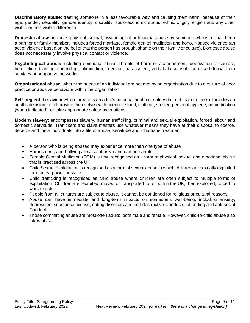**Discriminatory abuse**: treating someone in a less favourable way and causing them harm, because of their age, gender, sexuality, gender identity, disability, socio-economic status, ethnic origin, religion and any other visible or non-visible difference.

**Domestic abuse**: includes physical, sexual, psychological or financial abuse by someone who is, or has been a partner or family member. Includes forced marriage, female genital mutilation and honour-based violence (an act of violence based on the belief that the person has brought shame on their family or culture). Domestic abuse does not necessarily involve physical contact or violence.

**Psychological abuse:** including emotional abuse, threats of harm or abandonment, deprivation of contact, humiliation, blaming, controlling, intimidation, coercion, harassment, verbal abuse, isolation or withdrawal from services or supportive networks.

**Organisational abuse**: where the needs of an individual are not met by an organisation due to a culture of poor practice or abusive behaviour within the organisation.

**Self-neglect:** behaviour which threatens an adult's personal health or safety (but not that of others). Includes an adult's decision to not provide themselves with adequate food, clothing, shelter, personal hygiene, or medication (when indicated), or take appropriate safety precautions

**Modern slavery**: encompasses slavery, human trafficking, criminal and sexual exploitation, forced labour and domestic servitude. Traffickers and slave masters use whatever means they have at their disposal to coerce, deceive and force individuals into a life of abuse, servitude and inhumane treatment.

- A person who is being abused may experience more than one type of abuse
- Harassment, and bullying are also abusive and can be harmful
- Female Genital Mutilation (FGM) is now recognised as a form of physical, sexual and emotional abuse that is practised across the UK
- Child Sexual Exploitation is recognised as a form of sexual abuse in which children are sexually exploited for money, power or status
- Child trafficking is recognised as child abuse where children are often subject to multiple forms of exploitation. Children are recruited, moved or transported to, or within the UK, then exploited, forced to work or sold
- People from all cultures are subject to abuse. It cannot be condoned for religious or cultural reasons
- Abuse can have immediate and long-term impacts on someone's well-being, including anxiety, depression, substance misuse, eating disorders and self-destructive Conducts, offending and anti-social **Conduct**
- Those committing abuse are most often adults, both male and female. However, child-to-child abuse also takes place.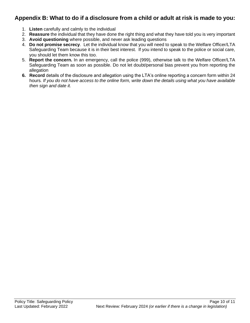## **Appendix B: What to do if a disclosure from a child or adult at risk is made to you:**

- 1. **Listen** carefully and calmly to the individual
- 2. **Reassure** the individual that they have done the right thing and what they have told you is very important
- 3. **Avoid questioning** where possible, and never ask leading questions
- 4. **Do not promise secrecy**. Let the individual know that you will need to speak to the Welfare Officer/LTA Safeguarding Team because it is in their best interest. If you intend to speak to the police or social care, you should let them know this too.
- 5. **Report the concern.** In an emergency, call the police (999), otherwise talk to the Welfare Officer/LTA Safeguarding Team as soon as possible. Do not let doubt/personal bias prevent you from reporting the allegation
- **6. Record** details of the disclosure and allegation using the LTA's online reporting a concern form within 24 hours*. If you do not have access to the online form, write down the details using what you have available then sign and date it.*